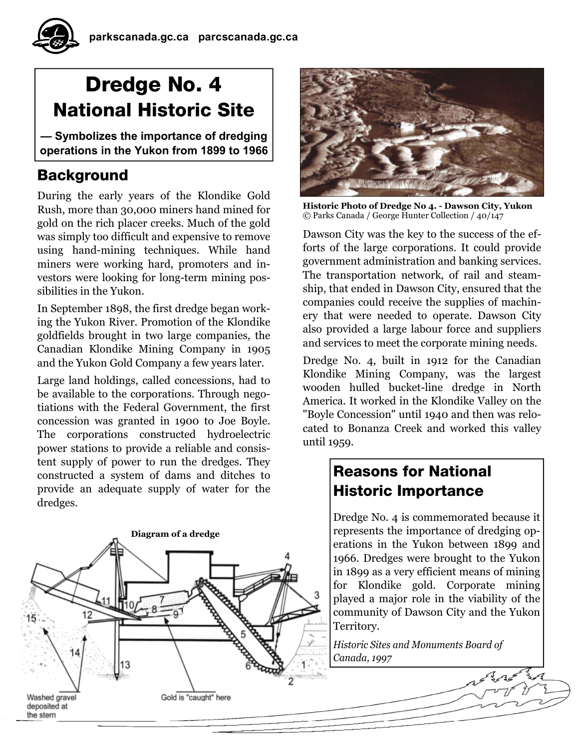# Dredge No. 4 National Historic Site

**— Symbolizes the importance of dredging operations in the Yukon from 1899 to 1966**

# Background

During the early years of the Klondike Gold Rush, more than 30,000 miners hand mined for gold on the rich placer creeks. Much of the gold was simply too difficult and expensive to remove using hand-mining techniques. While hand miners were working hard, promoters and investors were looking for long-term mining possibilities in the Yukon.

In September 1898, the first dredge began working the Yukon River. Promotion of the Klondike goldfields brought in two large companies, the Canadian Klondike Mining Company in 1905 and the Yukon Gold Company a few years later.

Large land holdings, called concessions, had to be available to the corporations. Through negotiations with the Federal Government, the first concession was granted in 1900 to Joe Boyle. The corporations constructed hydroelectric power stations to provide a reliable and consistent supply of power to run the dredges. They constructed a system of dams and ditches to provide an adequate supply of water for the dredges.





**Historic Photo of Dredge No 4. - Dawson City, Yukon**  © Parks Canada / George Hunter Collection / 40/147

Dawson City was the key to the success of the efforts of the large corporations. It could provide government administration and banking services. The transportation network, of rail and steamship, that ended in Dawson City, ensured that the companies could receive the supplies of machinery that were needed to operate. Dawson City also provided a large labour force and suppliers and services to meet the corporate mining needs.

Dredge No. 4, built in 1912 for the Canadian Klondike Mining Company, was the largest wooden hulled bucket-line dredge in North America. It worked in the Klondike Valley on the "Boyle Concession" until 1940 and then was relocated to Bonanza Creek and worked this valley until 1959.

# Reasons for National Historic Importance

Dredge No. 4 is commemorated because it represents the importance of dredging operations in the Yukon between 1899 and 1966. Dredges were brought to the Yukon in 1899 as a very efficient means of mining for Klondike gold. Corporate mining played a major role in the viability of the community of Dawson City and the Yukon Territory.

*Historic Sites and Monuments Board of Canada, 1997*